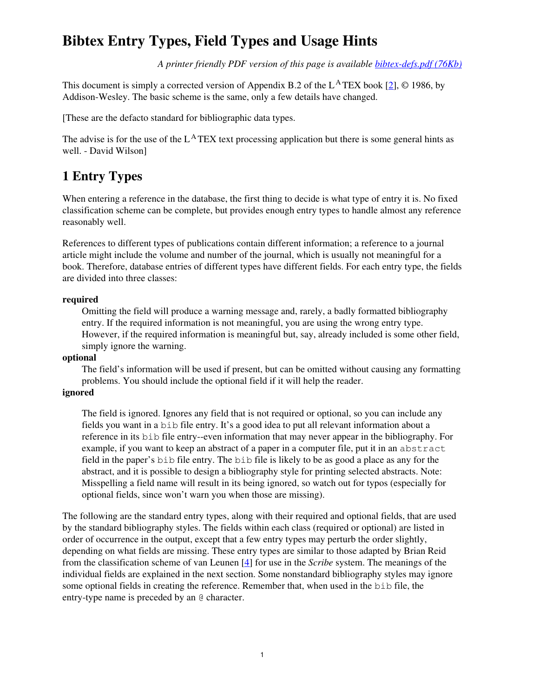## **Bibtex Entry Types, Field Types and Usage Hints**

*A printer friendly PDF version of this page is available bibtex-defs.pdf (76Kb)*

This document is simply a corrected version of Appendix B.2 of the  $L^{\text{A}}$  TEX book [2],  $\odot$  1986, by Addison-Wesley. The basic scheme is the same, only a few details have changed.

[These are the defacto standard for bibliographic data types.

The advise is for the use of the  $L^{\text{A}}$  TEX text processing application but there is some general hints as well. - David Wilson]

### **1 Entry Types**

When entering a reference in the database, the first thing to decide is what type of entry it is. No fixed classification scheme can be complete, but provides enough entry types to handle almost any reference reasonably well.

References to different types of publications contain different information; a reference to a journal article might include the volume and number of the journal, which is usually not meaningful for a book. Therefore, database entries of different types have different fields. For each entry type, the fields are divided into three classes:

#### **required**

Omitting the field will produce a warning message and, rarely, a badly formatted bibliography entry. If the required information is not meaningful, you are using the wrong entry type. However, if the required information is meaningful but, say, already included is some other field, simply ignore the warning.

#### **optional**

The field's information will be used if present, but can be omitted without causing any formatting problems. You should include the optional field if it will help the reader.

#### **ignored**

The field is ignored. Ignores any field that is not required or optional, so you can include any fields you want in a bib file entry. It's a good idea to put all relevant information about a reference in its bib file entry--even information that may never appear in the bibliography. For example, if you want to keep an abstract of a paper in a computer file, put it in an abstract field in the paper's bib file entry. The bib file is likely to be as good a place as any for the abstract, and it is possible to design a bibliography style for printing selected abstracts. Note: Misspelling a field name will result in its being ignored, so watch out for typos (especially for optional fields, since won't warn you when those are missing).

The following are the standard entry types, along with their required and optional fields, that are used by the standard bibliography styles. The fields within each class (required or optional) are listed in order of occurrence in the output, except that a few entry types may perturb the order slightly, depending on what fields are missing. These entry types are similar to those adapted by Brian Reid from the classification scheme of van Leunen [4] for use in the *Scribe* system. The meanings of the individual fields are explained in the next section. Some nonstandard bibliography styles may ignore some optional fields in creating the reference. Remember that, when used in the bib file, the entry-type name is preceded by an @ character.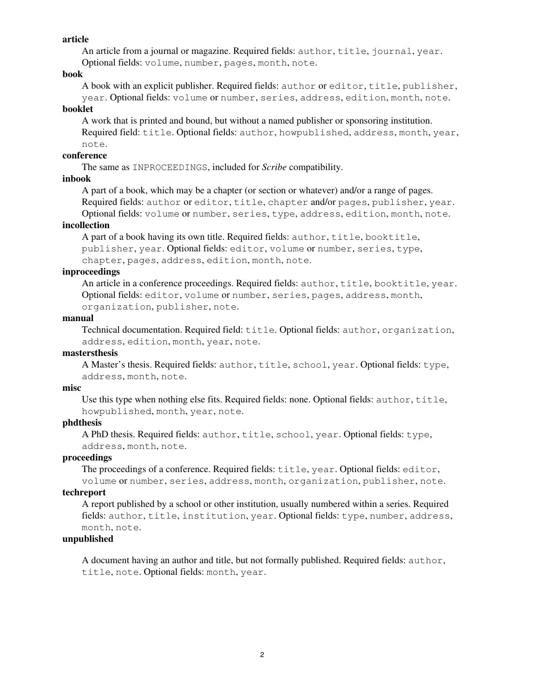#### **article**

An article from a journal or magazine. Required fields: author, title, journal, year.

Optional fields: volume, number, pages, month, note.

#### **book**

A book with an explicit publisher. Required fields: author or editor, title, publisher, year. Optional fields: volume or number, series, address, edition, month, note.

#### **booklet**

A work that is printed and bound, but without a named publisher or sponsoring institution. Required field: title. Optional fields: author, howpublished, address, month, year, note.

#### **conference**

The same as INPROCEEDINGS, included for *Scribe* compatibility.

#### **inbook**

A part of a book, which may be a chapter (or section or whatever) and/or a range of pages.

Required fields: author or editor, title, chapter and/or pages, publisher, year. Optional fields: volume or number, series, type, address, edition, month, note.

#### **incollection**

A part of a book having its own title. Required fields: author, title, booktitle, publisher, year. Optional fields: editor, volume or number, series, type, chapter, pages, address, edition, month, note.

#### **inproceedings**

An article in a conference proceedings. Required fields: author, title, booktitle, year. Optional fields: editor, volume or number, series, pages, address, month, organization, publisher, note.

#### **manual**

Technical documentation. Required field: title. Optional fields: author, organization, address, edition, month, year, note.

#### **mastersthesis**

A Master's thesis. Required fields: author, title, school, year. Optional fields: type, address, month, note.

#### **misc**

Use this type when nothing else fits. Required fields: none. Optional fields: author, title, howpublished, month, year, note.

#### **phdthesis**

A PhD thesis. Required fields: author, title, school, year. Optional fields: type, address, month, note.

#### **proceedings**

The proceedings of a conference. Required fields: title, year. Optional fields: editor, volume or number, series, address, month, organization, publisher, note.

#### **techreport**

A report published by a school or other institution, usually numbered within a series. Required fields: author, title, institution, year. Optional fields: type, number, address, month, note.

#### **unpublished**

A document having an author and title, but not formally published. Required fields: author, title, note. Optional fields: month, year.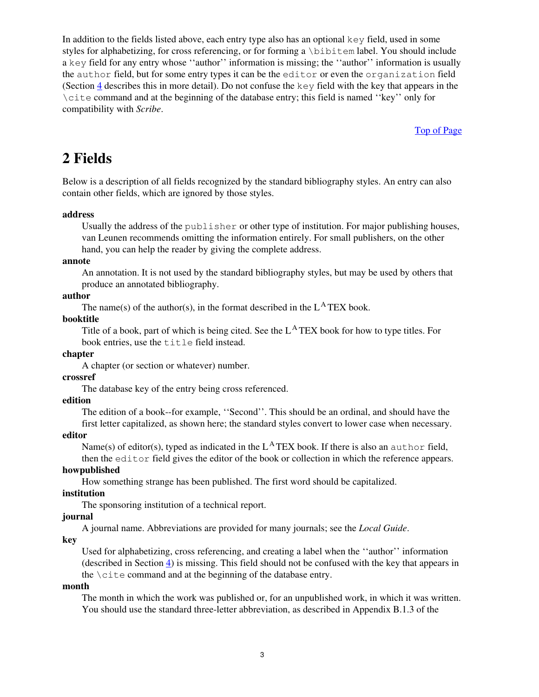In addition to the fields listed above, each entry type also has an optional key field, used in some styles for alphabetizing, for cross referencing, or for forming a \bibitem label. You should include a key field for any entry whose ''author'' information is missing; the ''author'' information is usually the author field, but for some entry types it can be the editor or even the organization field (Section 4 describes this in more detail). Do not confuse the  $key$  field with the key that appears in the \cite command and at the beginning of the database entry; this field is named ''key'' only for compatibility with *Scribe*.

Top of Page

## **2 Fields**

Below is a description of all fields recognized by the standard bibliography styles. An entry can also contain other fields, which are ignored by those styles.

#### **address**

Usually the address of the publisher or other type of institution. For major publishing houses, van Leunen recommends omitting the information entirely. For small publishers, on the other hand, you can help the reader by giving the complete address.

#### **annote**

An annotation. It is not used by the standard bibliography styles, but may be used by others that produce an annotated bibliography.

#### **author**

The name(s) of the author(s), in the format described in the  $L^{\text{A}}$  TEX book.

#### **booktitle**

Title of a book, part of which is being cited. See the L <sup>A</sup> TEX book for how to type titles. For book entries, use the title field instead.

#### **chapter**

A chapter (or section or whatever) number.

#### **crossref**

The database key of the entry being cross referenced.

#### **edition**

The edition of a book--for example, ''Second''. This should be an ordinal, and should have the first letter capitalized, as shown here; the standard styles convert to lower case when necessary.

#### **editor**

Name(s) of editor(s), typed as indicated in the  $L^{\text{A}}$  TEX book. If there is also an author field,

then the editor field gives the editor of the book or collection in which the reference appears. **howpublished**

How something strange has been published. The first word should be capitalized.

#### **institution**

The sponsoring institution of a technical report.

### **journal**

A journal name. Abbreviations are provided for many journals; see the *Local Guide*.

#### **key**

Used for alphabetizing, cross referencing, and creating a label when the ''author'' information (described in Section 4) is missing. This field should not be confused with the key that appears in the  $\c{$ i \text{te command} and at the beginning of the database entry.}

#### **month**

The month in which the work was published or, for an unpublished work, in which it was written. You should use the standard three-letter abbreviation, as described in Appendix B.1.3 of the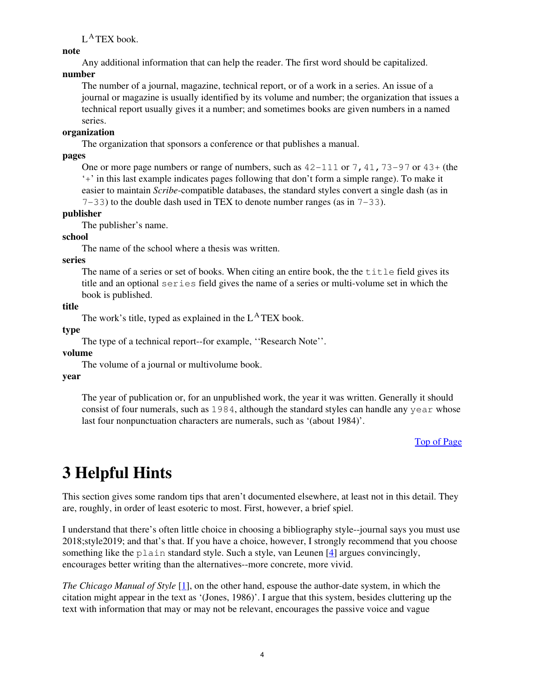L<sup>A</sup>TEX book.

**note**

Any additional information that can help the reader. The first word should be capitalized.

#### **number**

The number of a journal, magazine, technical report, or of a work in a series. An issue of a journal or magazine is usually identified by its volume and number; the organization that issues a technical report usually gives it a number; and sometimes books are given numbers in a named series.

#### **organization**

The organization that sponsors a conference or that publishes a manual.

**pages**

One or more page numbers or range of numbers, such as  $42-111$  or 7, 41, 73-97 or  $43+$  (the '+' in this last example indicates pages following that don't form a simple range). To make it easier to maintain *Scribe*-compatible databases, the standard styles convert a single dash (as in  $7-33$ ) to the double dash used in TEX to denote number ranges (as in  $7-33$ ).

**publisher**

The publisher's name.

#### **school**

The name of the school where a thesis was written.

#### **series**

The name of a series or set of books. When citing an entire book, the the  $\text{title}$  field gives its title and an optional series field gives the name of a series or multi-volume set in which the book is published.

**title**

The work's title, typed as explained in the L<sup>A</sup>TEX book.

**type**

The type of a technical report--for example, ''Research Note''.

#### **volume**

The volume of a journal or multivolume book.

**year**

The year of publication or, for an unpublished work, the year it was written. Generally it should consist of four numerals, such as 1984, although the standard styles can handle any year whose last four nonpunctuation characters are numerals, such as '(about 1984)'.

#### Top of Page

# **3 Helpful Hints**

This section gives some random tips that aren't documented elsewhere, at least not in this detail. They are, roughly, in order of least esoteric to most. First, however, a brief spiel.

I understand that there's often little choice in choosing a bibliography style--journal says you must use 2018;style2019; and that's that. If you have a choice, however, I strongly recommend that you choose something like the plain standard style. Such a style, van Leunen  $[4]$  argues convincingly, encourages better writing than the alternatives--more concrete, more vivid.

*The Chicago Manual of Style* [1], on the other hand, espouse the author-date system, in which the citation might appear in the text as '(Jones, 1986)'. I argue that this system, besides cluttering up the text with information that may or may not be relevant, encourages the passive voice and vague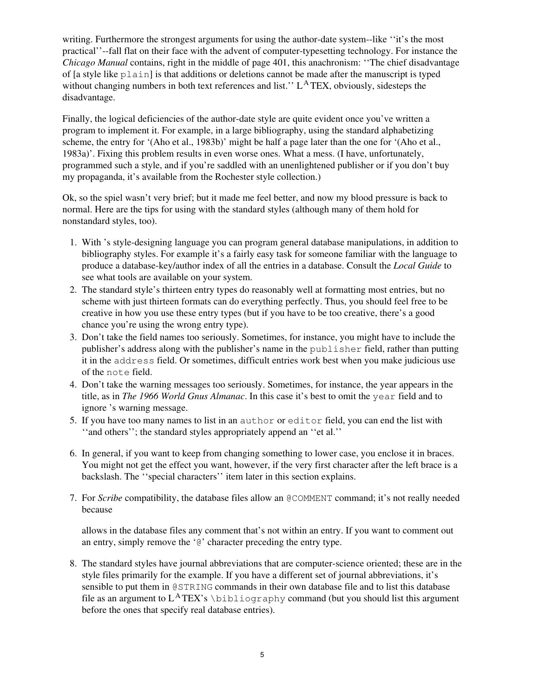writing. Furthermore the strongest arguments for using the author-date system--like ''it's the most practical''--fall flat on their face with the advent of computer-typesetting technology. For instance the *Chicago Manual* contains, right in the middle of page 401, this anachronism: ''The chief disadvantage of [a style like plain] is that additions or deletions cannot be made after the manuscript is typed without changing numbers in both text references and list." L<sup>A</sup>TEX, obviously, sidesteps the disadvantage.

Finally, the logical deficiencies of the author-date style are quite evident once you've written a program to implement it. For example, in a large bibliography, using the standard alphabetizing scheme, the entry for '(Aho et al., 1983b)' might be half a page later than the one for '(Aho et al., 1983a)'. Fixing this problem results in even worse ones. What a mess. (I have, unfortunately, programmed such a style, and if you're saddled with an unenlightened publisher or if you don't buy my propaganda, it's available from the Rochester style collection.)

Ok, so the spiel wasn't very brief; but it made me feel better, and now my blood pressure is back to normal. Here are the tips for using with the standard styles (although many of them hold for nonstandard styles, too).

- 1. With 's style-designing language you can program general database manipulations, in addition to bibliography styles. For example it's a fairly easy task for someone familiar with the language to produce a database-key/author index of all the entries in a database. Consult the *Local Guide* to see what tools are available on your system.
- 2. The standard style's thirteen entry types do reasonably well at formatting most entries, but no scheme with just thirteen formats can do everything perfectly. Thus, you should feel free to be creative in how you use these entry types (but if you have to be too creative, there's a good chance you're using the wrong entry type).
- 3. Don't take the field names too seriously. Sometimes, for instance, you might have to include the publisher's address along with the publisher's name in the publisher field, rather than putting it in the address field. Or sometimes, difficult entries work best when you make judicious use of the note field.
- 4. Don't take the warning messages too seriously. Sometimes, for instance, the year appears in the title, as in *The 1966 World Gnus Almanac*. In this case it's best to omit the year field and to ignore 's warning message.
- 5. If you have too many names to list in an author or editor field, you can end the list with ''and others''; the standard styles appropriately append an ''et al.''
- 6. In general, if you want to keep from changing something to lower case, you enclose it in braces. You might not get the effect you want, however, if the very first character after the left brace is a backslash. The ''special characters'' item later in this section explains.
- 7. For *Scribe* compatibility, the database files allow an @COMMENT command; it's not really needed because

allows in the database files any comment that's not within an entry. If you want to comment out an entry, simply remove the '@' character preceding the entry type.

8. The standard styles have journal abbreviations that are computer-science oriented; these are in the style files primarily for the example. If you have a different set of journal abbreviations, it's sensible to put them in @STRING commands in their own database file and to list this database file as an argument to  $L^ATEX$ 's  $\bibliography$  command (but you should list this argument before the ones that specify real database entries).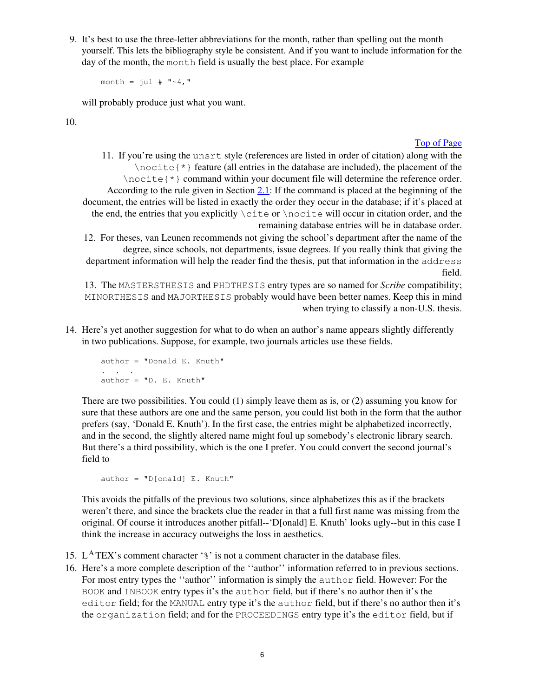9. It's best to use the three-letter abbreviations for the month, rather than spelling out the month yourself. This lets the bibliography style be consistent. And if you want to include information for the day of the month, the month field is usually the best place. For example

month =  $\text{jul}$  # "~4,"

will probably produce just what you want.

10.

#### Top of Page

11. If you're using the unsrt style (references are listed in order of citation) along with the  $\in$   $\{ * \}$  feature (all entries in the database are included), the placement of the \nocite{\*} command within your document file will determine the reference order. According to the rule given in Section 2.1: If the command is placed at the beginning of the document, the entries will be listed in exactly the order they occur in the database; if it's placed at the end, the entries that you explicitly \cite or \nocite will occur in citation order, and the remaining database entries will be in database order.

12. For theses, van Leunen recommends not giving the school's department after the name of the degree, since schools, not departments, issue degrees. If you really think that giving the department information will help the reader find the thesis, put that information in the address field.

13. The MASTERSTHESIS and PHDTHESIS entry types are so named for *Scribe* compatibility; MINORTHESIS and MAJORTHESIS probably would have been better names. Keep this in mind when trying to classify a non-U.S. thesis.

14. Here's yet another suggestion for what to do when an author's name appears slightly differently in two publications. Suppose, for example, two journals articles use these fields.

```
 author = "Donald E. Knuth"
 . . .
    author = "D. E. Knuth"
```
There are two possibilities. You could (1) simply leave them as is, or (2) assuming you know for sure that these authors are one and the same person, you could list both in the form that the author prefers (say, 'Donald E. Knuth'). In the first case, the entries might be alphabetized incorrectly, and in the second, the slightly altered name might foul up somebody's electronic library search. But there's a third possibility, which is the one I prefer. You could convert the second journal's field to

```
author = "D[onald] E. Knuth"
```
This avoids the pitfalls of the previous two solutions, since alphabetizes this as if the brackets weren't there, and since the brackets clue the reader in that a full first name was missing from the original. Of course it introduces another pitfall--'D[onald] E. Knuth' looks ugly--but in this case I think the increase in accuracy outweighs the loss in aesthetics.

- 15. L<sup>A</sup>TEX's comment character ' $\frac{1}{6}$ ' is not a comment character in the database files.
- 16. Here's a more complete description of the ''author'' information referred to in previous sections. For most entry types the ''author'' information is simply the author field. However: For the BOOK and INBOOK entry types it's the author field, but if there's no author then it's the editor field; for the MANUAL entry type it's the author field, but if there's no author then it's the organization field; and for the PROCEEDINGS entry type it's the editor field, but if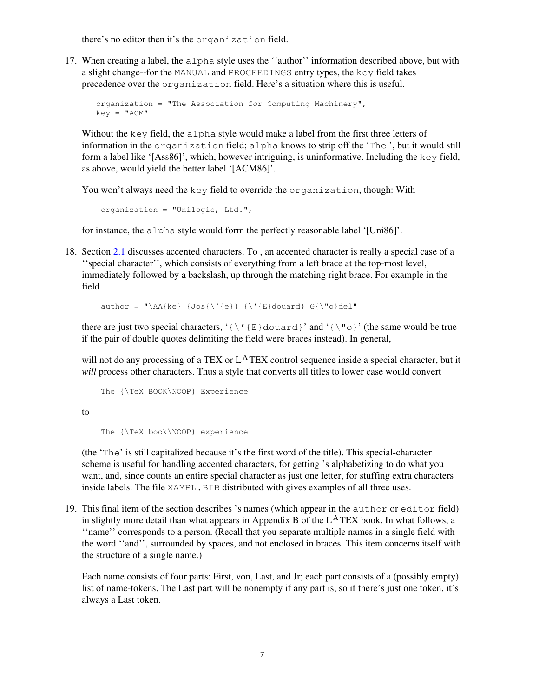there's no editor then it's the organization field.

17. When creating a label, the alpha style uses the ''author'' information described above, but with a slight change--for the MANUAL and PROCEEDINGS entry types, the key field takes precedence over the organization field. Here's a situation where this is useful.

```
organization = "The Association for Computing Machinery",
key = "ACM"
```
Without the key field, the alpha style would make a label from the first three letters of information in the organization field; alpha knows to strip off the 'The ', but it would still form a label like '[Ass86]', which, however intriguing, is uninformative. Including the key field, as above, would yield the better label '[ACM86]'.

You won't always need the key field to override the organization, though: With

organization = "Unilogic, Ltd.",

for instance, the alpha style would form the perfectly reasonable label '[Uni86]'.

18. Section 2.1 discusses accented characters. To , an accented character is really a special case of a ''special character'', which consists of everything from a left brace at the top-most level, immediately followed by a backslash, up through the matching right brace. For example in the field

author = "\AA{ke} {Jos{\'{e}} {\'{E}douard} G{\"o}del"

there are just two special characters, '{\'{E}douard}' and '{\"o}' (the same would be true if the pair of double quotes delimiting the field were braces instead). In general,

will not do any processing of a TEX or L<sup>A</sup>TEX control sequence inside a special character, but it *will* process other characters. Thus a style that converts all titles to lower case would convert

```
 The {\TeX BOOK\NOOP} Experience
```
to

The {\TeX book\NOOP} experience

(the 'The' is still capitalized because it's the first word of the title). This special-character scheme is useful for handling accented characters, for getting 's alphabetizing to do what you want, and, since counts an entire special character as just one letter, for stuffing extra characters inside labels. The file XAMPL. BIB distributed with gives examples of all three uses.

19. This final item of the section describes 's names (which appear in the author or editor field) in slightly more detail than what appears in Appendix B of the  $L^{\text{A}}$  TEX book. In what follows, a ''name'' corresponds to a person. (Recall that you separate multiple names in a single field with the word ''and'', surrounded by spaces, and not enclosed in braces. This item concerns itself with the structure of a single name.)

Each name consists of four parts: First, von, Last, and Jr; each part consists of a (possibly empty) list of name-tokens. The Last part will be nonempty if any part is, so if there's just one token, it's always a Last token.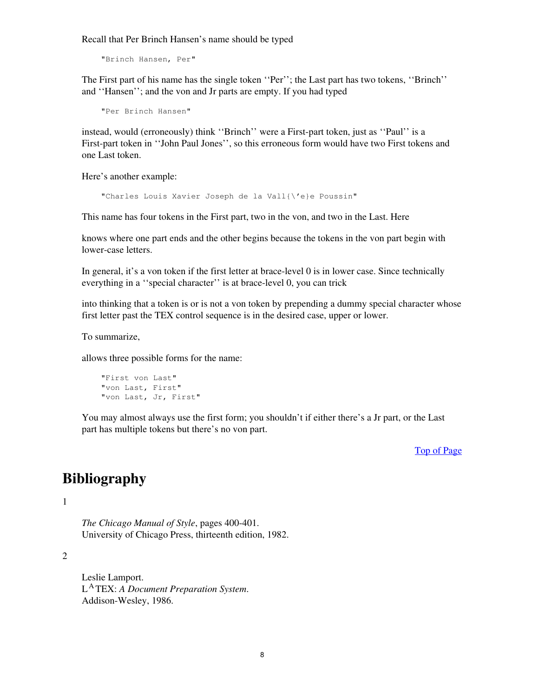Recall that Per Brinch Hansen's name should be typed

"Brinch Hansen, Per"

The First part of his name has the single token ''Per''; the Last part has two tokens, ''Brinch'' and ''Hansen''; and the von and Jr parts are empty. If you had typed

```
 "Per Brinch Hansen"
```
instead, would (erroneously) think ''Brinch'' were a First-part token, just as ''Paul'' is a First-part token in ''John Paul Jones'', so this erroneous form would have two First tokens and one Last token.

Here's another example:

"Charles Louis Xavier Joseph de la Vall{\'e}e Poussin"

This name has four tokens in the First part, two in the von, and two in the Last. Here

knows where one part ends and the other begins because the tokens in the von part begin with lower-case letters.

In general, it's a von token if the first letter at brace-level 0 is in lower case. Since technically everything in a ''special character'' is at brace-level 0, you can trick

into thinking that a token is or is not a von token by prepending a dummy special character whose first letter past the TEX control sequence is in the desired case, upper or lower.

To summarize,

allows three possible forms for the name:

```
 "First von Last"
 "von Last, First"
 "von Last, Jr, First"
```
You may almost always use the first form; you shouldn't if either there's a Jr part, or the Last part has multiple tokens but there's no von part.

Top of Page

### **Bibliography**

1

*The Chicago Manual of Style*, pages 400-401. University of Chicago Press, thirteenth edition, 1982.

2

Leslie Lamport. L <sup>A</sup> TEX: *A Document Preparation System*. Addison-Wesley, 1986.